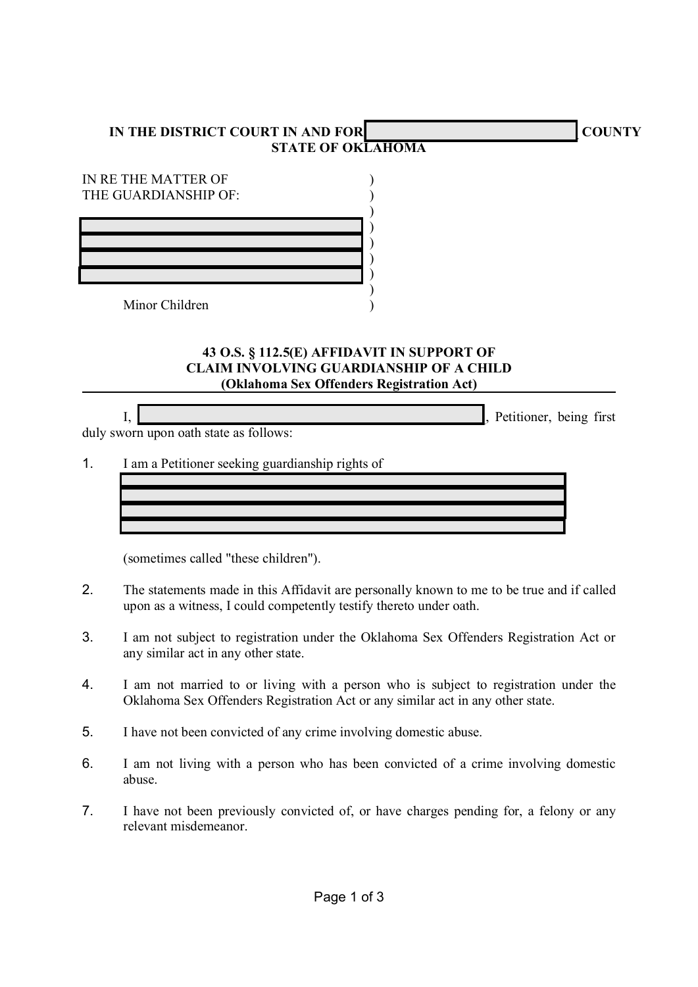## IN THE DISTRICT COURT IN AND FOR **EXECUTES A POST OF A PARTICLE A** COUNTY STATE OF OKLAHOMA

| IN RE THE MATTER OF<br>THE GUARDIANSHIP OF: |  |
|---------------------------------------------|--|
|                                             |  |
|                                             |  |
|                                             |  |
| Minor Children                              |  |

## 43 O.S. § 112.5(E) AFFIDAVIT IN SUPPORT OF CLAIM INVOLVING GUARDIANSHIP OF A CHILD (Oklahoma Sex Offenders Registration Act)

$$
\overline{l},
$$

Petitioner, being first

duly sworn upon oath state as follows:

1. I am a Petitioner seeking guardianship rights of

(sometimes called "these children").

- 2. The statements made in this Affidavit are personally known to me to be true and if called upon as a witness, I could competently testify thereto under oath.
- 3. I am not subject to registration under the Oklahoma Sex Offenders Registration Act or any similar act in any other state.
- 4. I am not married to or living with a person who is subject to registration under the Oklahoma Sex Offenders Registration Act or any similar act in any other state.
- 5. I have not been convicted of any crime involving domestic abuse.

 $\mathcal{L}_\text{max} = \mathcal{L}_\text{max} = \mathcal{L}_\text{max} = \mathcal{L}_\text{max} = \mathcal{L}_\text{max} = \mathcal{L}_\text{max} = \mathcal{L}_\text{max} = \mathcal{L}_\text{max} = \mathcal{L}_\text{max} = \mathcal{L}_\text{max} = \mathcal{L}_\text{max} = \mathcal{L}_\text{max} = \mathcal{L}_\text{max} = \mathcal{L}_\text{max} = \mathcal{L}_\text{max} = \mathcal{L}_\text{max} = \mathcal{L}_\text{max} = \mathcal{L}_\text{max} = \mathcal{$  $\mathcal{L}_\text{max} = \mathcal{L}_\text{max} = \mathcal{L}_\text{max} = \mathcal{L}_\text{max} = \mathcal{L}_\text{max} = \mathcal{L}_\text{max} = \mathcal{L}_\text{max} = \mathcal{L}_\text{max} = \mathcal{L}_\text{max} = \mathcal{L}_\text{max} = \mathcal{L}_\text{max} = \mathcal{L}_\text{max} = \mathcal{L}_\text{max} = \mathcal{L}_\text{max} = \mathcal{L}_\text{max} = \mathcal{L}_\text{max} = \mathcal{L}_\text{max} = \mathcal{L}_\text{max} = \mathcal{$  $\mathcal{L}_\text{max} = \mathcal{L}_\text{max} = \mathcal{L}_\text{max} = \mathcal{L}_\text{max} = \mathcal{L}_\text{max} = \mathcal{L}_\text{max} = \mathcal{L}_\text{max} = \mathcal{L}_\text{max} = \mathcal{L}_\text{max} = \mathcal{L}_\text{max} = \mathcal{L}_\text{max} = \mathcal{L}_\text{max} = \mathcal{L}_\text{max} = \mathcal{L}_\text{max} = \mathcal{L}_\text{max} = \mathcal{L}_\text{max} = \mathcal{L}_\text{max} = \mathcal{L}_\text{max} = \mathcal{$  $\mathcal{L}_\text{max} = \frac{1}{2} \sum_{i=1}^n \frac{1}{2} \sum_{i=1}^n \frac{1}{2} \sum_{i=1}^n \frac{1}{2} \sum_{i=1}^n \frac{1}{2} \sum_{i=1}^n \frac{1}{2} \sum_{i=1}^n \frac{1}{2} \sum_{i=1}^n \frac{1}{2} \sum_{i=1}^n \frac{1}{2} \sum_{i=1}^n \frac{1}{2} \sum_{i=1}^n \frac{1}{2} \sum_{i=1}^n \frac{1}{2} \sum_{i=1}^n \frac{1}{2} \sum_{i=1}^n$ 

- 6. I am not living with a person who has been convicted of a crime involving domestic abuse.
- 7. I have not been previously convicted of, or have charges pending for, a felony or any relevant misdemeanor.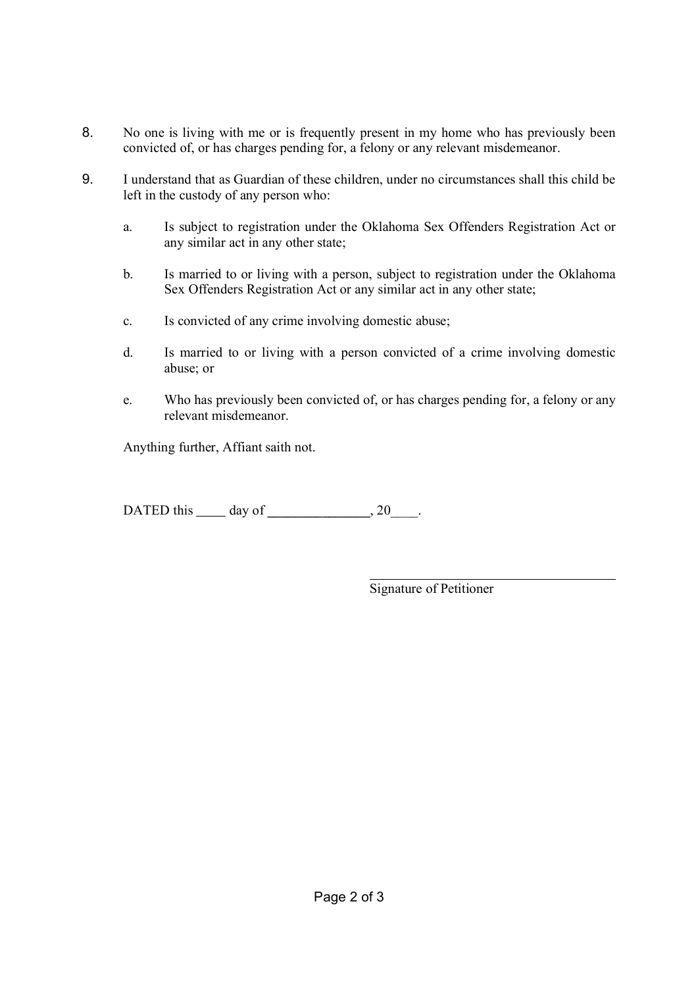- 8. No one is living with me or is frequently present in my home who has previously been convicted of, or has charges pending for, a felony or any relevant misdemeanor.
- 9. I understand that as Guardian of these children, under no circumstances shall this child be left in the custody of any person who:
	- a. Is subject to registration under the Oklahoma Sex Offenders Registration Act or any similar act in any other state;
	- b. Is married to or living with a person, subject to registration under the Oklahoma Sex Offenders Registration Act or any similar act in any other state;
	- c. Is convicted of any crime involving domestic abuse;
	- d. Is married to or living with a person convicted of a crime involving domestic abuse; or
	- e. Who has previously been convicted of, or has charges pending for, a felony or any relevant misdemeanor.

Anything further, Affiant saith not.

DATED this  $\_\_\_\_\$  day of  $\_\_\_\_\_\$ , 20 $\_\_\_\$ .

 $\overline{a}$ Signature of Petitioner